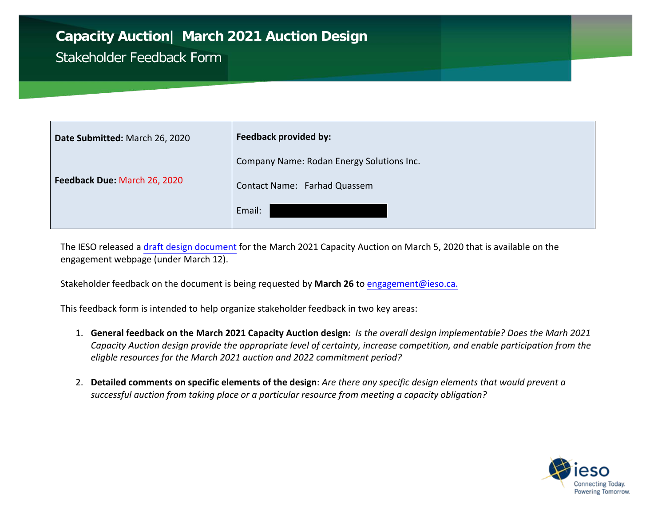## **Capacity Auction| March 2021 Auction Design**

## Stakeholder Feedback Form

| Date Submitted: March 26, 2020 | Feedback provided by:                     |
|--------------------------------|-------------------------------------------|
|                                | Company Name: Rodan Energy Solutions Inc. |
| Feedback Due: March 26, 2020   | Contact Name: Farhad Quassem              |
|                                | Email:                                    |

The IESO released a draft [design document](http://www.ieso.ca/en/Sector-Participants/Engagement-Initiatives/Engagements/Capacity-Auction) for the March 2021 Capacity Auction on March 5, 2020 that is available on the engagement webpage (under March 12).

Stakeholder feedback on the document is being requested by **March 26** to engagement@ieso.ca.

This feedback form is intended to help organize stakeholder feedback in two key areas:

- 1. **General feedback on the March 2021 Capacity Auction design:** *Is the overall design implementable? Does the Marh 2021 Capacity Auction design provide the appropriate level of certainty, increase competition, and enable participation from the eligble resources for the March 2021 auction and 2022 commitment period?*
- 2. **Detailed comments on specific elements of the design**: *Are there any specific design elements that would prevent a successful auction from taking place or a particular resource from meeting a capacity obligation?*

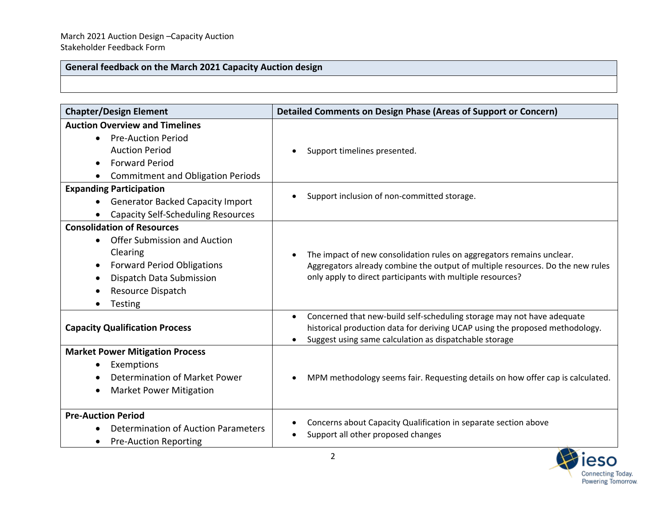## **General feedback on the March 2021 Capacity Auction design**

| <b>Chapter/Design Element</b>                                                                                                                                                                                   | <b>Detailed Comments on Design Phase (Areas of Support or Concern)</b>                                                                                                                                                        |
|-----------------------------------------------------------------------------------------------------------------------------------------------------------------------------------------------------------------|-------------------------------------------------------------------------------------------------------------------------------------------------------------------------------------------------------------------------------|
| <b>Auction Overview and Timelines</b><br><b>Pre-Auction Period</b><br>$\bullet$<br><b>Auction Period</b><br><b>Forward Period</b><br><b>Commitment and Obligation Periods</b><br><b>Expanding Participation</b> | Support timelines presented.                                                                                                                                                                                                  |
| <b>Generator Backed Capacity Import</b><br><b>Capacity Self-Scheduling Resources</b>                                                                                                                            | Support inclusion of non-committed storage.<br>$\bullet$                                                                                                                                                                      |
| <b>Consolidation of Resources</b><br><b>Offer Submission and Auction</b><br>Clearing<br><b>Forward Period Obligations</b><br>Dispatch Data Submission<br>Resource Dispatch<br><b>Testing</b>                    | The impact of new consolidation rules on aggregators remains unclear.<br>Aggregators already combine the output of multiple resources. Do the new rules<br>only apply to direct participants with multiple resources?         |
| <b>Capacity Qualification Process</b>                                                                                                                                                                           | Concerned that new-build self-scheduling storage may not have adequate<br>$\bullet$<br>historical production data for deriving UCAP using the proposed methodology.<br>Suggest using same calculation as dispatchable storage |
| <b>Market Power Mitigation Process</b><br>Exemptions<br>Determination of Market Power<br><b>Market Power Mitigation</b><br>$\bullet$                                                                            | MPM methodology seems fair. Requesting details on how offer cap is calculated.                                                                                                                                                |
| <b>Pre-Auction Period</b><br>Determination of Auction Parameters<br><b>Pre-Auction Reporting</b>                                                                                                                | Concerns about Capacity Qualification in separate section above<br>Support all other proposed changes                                                                                                                         |

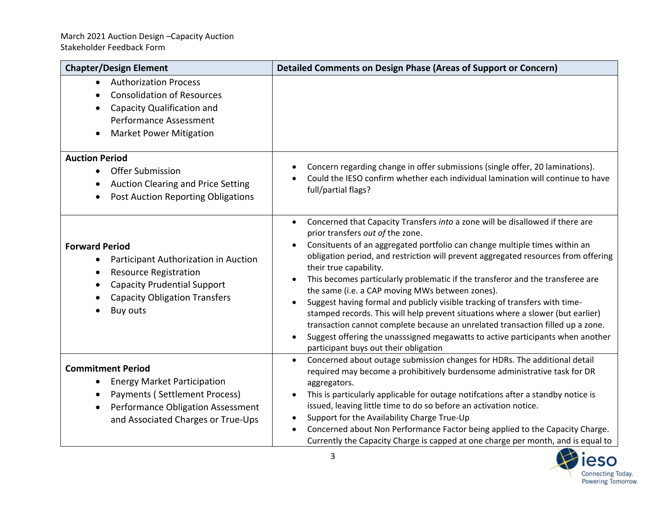| <b>Chapter/Design Element</b>                                                                                                                                                                               | <b>Detailed Comments on Design Phase (Areas of Support or Concern)</b>                                                                                                                                                                                                                                                                                                                                                                                                                                                                                                                                                                                                                                                                                                                                                                                                     |
|-------------------------------------------------------------------------------------------------------------------------------------------------------------------------------------------------------------|----------------------------------------------------------------------------------------------------------------------------------------------------------------------------------------------------------------------------------------------------------------------------------------------------------------------------------------------------------------------------------------------------------------------------------------------------------------------------------------------------------------------------------------------------------------------------------------------------------------------------------------------------------------------------------------------------------------------------------------------------------------------------------------------------------------------------------------------------------------------------|
| <b>Authorization Process</b><br>$\bullet$<br><b>Consolidation of Resources</b><br>Capacity Qualification and<br><b>Performance Assessment</b><br><b>Market Power Mitigation</b>                             |                                                                                                                                                                                                                                                                                                                                                                                                                                                                                                                                                                                                                                                                                                                                                                                                                                                                            |
| <b>Auction Period</b><br>Offer Submission<br>$\bullet$<br><b>Auction Clearing and Price Setting</b><br><b>Post Auction Reporting Obligations</b><br>$\bullet$                                               | Concern regarding change in offer submissions (single offer, 20 laminations).<br>$\bullet$<br>Could the IESO confirm whether each individual lamination will continue to have<br>full/partial flags?                                                                                                                                                                                                                                                                                                                                                                                                                                                                                                                                                                                                                                                                       |
| <b>Forward Period</b><br>Participant Authorization in Auction<br>$\bullet$<br><b>Resource Registration</b><br><b>Capacity Prudential Support</b><br><b>Capacity Obligation Transfers</b><br><b>Buy outs</b> | Concerned that Capacity Transfers into a zone will be disallowed if there are<br>$\bullet$<br>prior transfers out of the zone.<br>Consituents of an aggregated portfolio can change multiple times within an<br>obligation period, and restriction will prevent aggregated resources from offering<br>their true capability.<br>This becomes particularly problematic if the transferor and the transferee are<br>$\bullet$<br>the same (i.e. a CAP moving MWs between zones).<br>Suggest having formal and publicly visible tracking of transfers with time-<br>stamped records. This will help prevent situations where a slower (but earlier)<br>transaction cannot complete because an unrelated transaction filled up a zone.<br>Suggest offering the unasssigned megawatts to active participants when another<br>$\bullet$<br>participant buys out their obligation |
| <b>Commitment Period</b><br><b>Energy Market Participation</b><br>$\bullet$<br>Payments (Settlement Process)<br>Performance Obligation Assessment<br>and Associated Charges or True-Ups                     | Concerned about outage submission changes for HDRs. The additional detail<br>required may become a prohibitively burdensome administrative task for DR<br>aggregators.<br>This is particularly applicable for outage notifcations after a standby notice is<br>$\bullet$<br>issued, leaving little time to do so before an activation notice.<br>Support for the Availability Charge True-Up<br>Concerned about Non Performance Factor being applied to the Capacity Charge.<br>Currently the Capacity Charge is capped at one charge per month, and is equal to                                                                                                                                                                                                                                                                                                           |